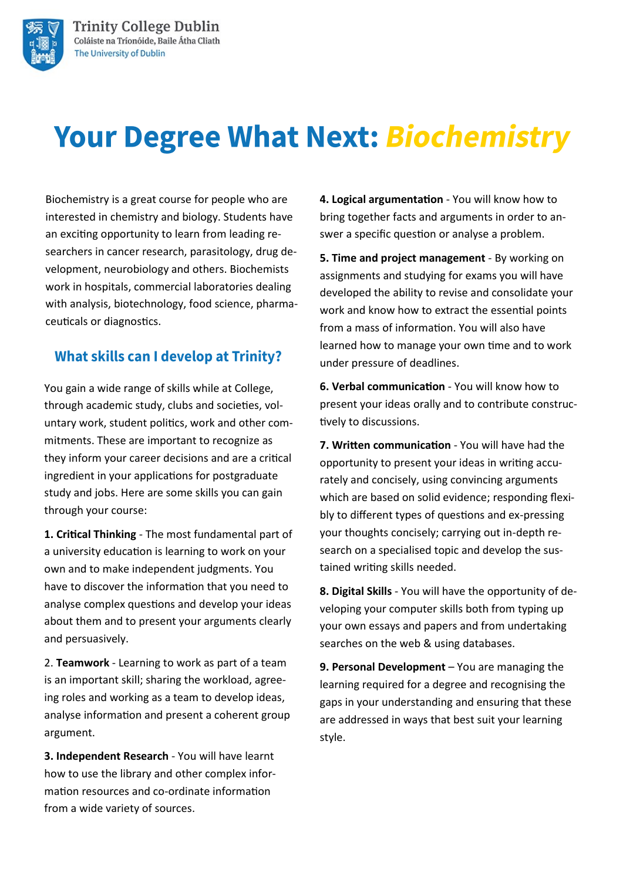

# **Your Degree What Next: Biochemistry**

Biochemistry is a great course for people who are interested in chemistry and biology. Students have an exciting opportunity to learn from leading researchers in cancer research, parasitology, drug development, neurobiology and others. Biochemists work in hospitals, commercial laboratories dealing with analysis, biotechnology, food science, pharmaceuticals or diagnostics.

### **What skills can I develop at Trinity?**

You gain a wide range of skills while at College, through academic study, clubs and societies, voluntary work, student politics, work and other commitments. These are important to recognize as they inform your career decisions and are a critical ingredient in your applications for postgraduate study and jobs. Here are some skills you can gain through your course:

**1. Critical Thinking** - The most fundamental part of a university education is learning to work on your own and to make independent judgments. You have to discover the information that you need to analyse complex questions and develop your ideas about them and to present your arguments clearly and persuasively.

2. **Teamwork** - Learning to work as part of a team is an important skill; sharing the workload, agreeing roles and working as a team to develop ideas, analyse information and present a coherent group argument.

**3. Independent Research** - You will have learnt how to use the library and other complex information resources and co-ordinate information from a wide variety of sources.

**4. Logical argumentation** - You will know how to bring together facts and arguments in order to answer a specific question or analyse a problem.

**5. Time and project management** - By working on assignments and studying for exams you will have developed the ability to revise and consolidate your work and know how to extract the essential points from a mass of information. You will also have learned how to manage your own time and to work under pressure of deadlines.

**6. Verbal communication** - You will know how to present your ideas orally and to contribute constructively to discussions.

**7. Written communication** - You will have had the opportunity to present your ideas in writing accurately and concisely, using convincing arguments which are based on solid evidence; responding flexibly to different types of questions and ex-pressing your thoughts concisely; carrying out in-depth research on a specialised topic and develop the sustained writing skills needed.

**8. Digital Skills** - You will have the opportunity of developing your computer skills both from typing up your own essays and papers and from undertaking searches on the web & using databases.

**9. Personal Development** – You are managing the learning required for a degree and recognising the gaps in your understanding and ensuring that these are addressed in ways that best suit your learning style.